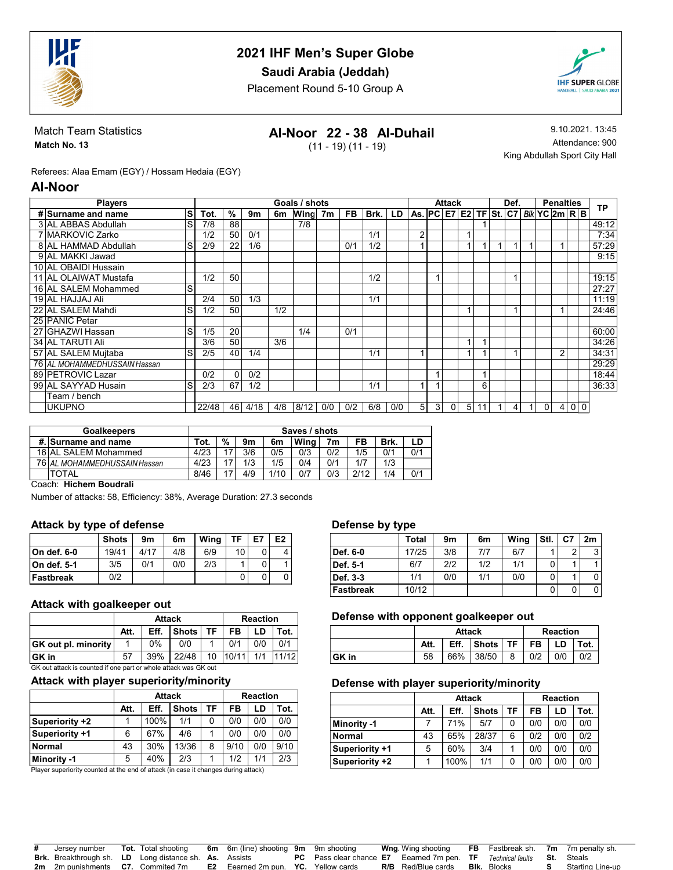

Saudi Arabia (Jeddah)

Placement Round 5-10 Group A



Match Team Statistics Match No. 13

## Al-Noor 22 - 38 Al-Duhail

(11 - 19) (11 - 19)

9.10.2021. 13:45 Attendance: 900 King Abdullah Sport City Hall

Referees: Alaa Emam (EGY) / Hossam Hedaia (EGY)

#### Al-Noor

| <b>Players</b>               |       |                 |      |     | Goals / shots |     |     |      |     |                                          |   | <b>Attack</b> |                |    | Def. |          | <b>Penalties</b> |                |     | <b>TP</b> |
|------------------------------|-------|-----------------|------|-----|---------------|-----|-----|------|-----|------------------------------------------|---|---------------|----------------|----|------|----------|------------------|----------------|-----|-----------|
| s<br># Surname and name      | Tot.  | $\%$            | 9m   | 6m  | Wing 7m       |     | FB. | Brk. | LD  | As. $PC$ E7 E2 TF St. $C7$ Blk YC 2m R B |   |               |                |    |      |          |                  |                |     |           |
| 3 AL ABBAS Abdullah<br>S     | 7/8   | 88              |      |     | 7/8           |     |     |      |     |                                          |   |               |                |    |      |          |                  |                |     | 49:12     |
| 7 MARKOVIC Zarko             | 1/2   | 50              | 0/1  |     |               |     |     | 1/1  |     | 2                                        |   |               |                |    |      |          |                  |                |     | 7:34      |
| 8 AL HAMMAD Abdullah<br>S    | 2/9   | $\overline{22}$ | 1/6  |     |               |     | 0/1 | 1/2  |     |                                          |   |               |                |    |      |          |                  |                |     | 57:29     |
| 9 AL MAKKI Jawad             |       |                 |      |     |               |     |     |      |     |                                          |   |               |                |    |      |          |                  |                |     | 9:15      |
| 10 AL OBAIDI Hussain         |       |                 |      |     |               |     |     |      |     |                                          |   |               |                |    |      |          |                  |                |     |           |
| 11 AL OLAIWAT Mustafa        | 1/2   | 50              |      |     |               |     |     | 1/2  |     |                                          |   |               |                |    |      |          |                  |                |     | 19:15     |
| 16 AL SALEM Mohammed<br>S    |       |                 |      |     |               |     |     |      |     |                                          |   |               |                |    |      |          |                  |                |     | 27:27     |
| 19 AL HAJJAJ Ali             | 2/4   | 50              | 1/3  |     |               |     |     | 1/1  |     |                                          |   |               |                |    |      |          |                  |                |     | 11:19     |
| 22 AL SALEM Mahdi<br>S       | 1/2   | 50              |      | 1/2 |               |     |     |      |     |                                          |   |               |                |    |      |          |                  |                |     | 24:46     |
| 25 PANIC Petar               |       |                 |      |     |               |     |     |      |     |                                          |   |               |                |    |      |          |                  |                |     |           |
| S<br>27 GHAZWI Hassan        | 1/5   | 20              |      |     | 1/4           |     | 0/1 |      |     |                                          |   |               |                |    |      |          |                  |                |     | 60:00     |
| 34 AL TARUTI Ali             | 3/6   | 50              |      | 3/6 |               |     |     |      |     |                                          |   |               |                |    |      |          |                  |                |     | 34:26     |
| 57 AL SALEM Muitaba<br>S     | 2/5   | 40              | 1/4  |     |               |     |     | 1/1  |     |                                          |   |               |                |    |      |          | $\overline{2}$   |                |     | 34:31     |
| 76 AL MOHAMMEDHUSSAIN Hassan |       |                 |      |     |               |     |     |      |     |                                          |   |               |                |    |      |          |                  |                |     | 29:29     |
| 89 PETROVIC Lazar            | 0/2   | $\Omega$        | 0/2  |     |               |     |     |      |     |                                          |   |               |                |    |      |          |                  |                |     | 18:44     |
| 99 AL SAYYAD Husain<br>S     | 2/3   | 67              | 1/2  |     |               |     |     | 1/1  |     |                                          |   |               |                | 6  |      |          |                  |                |     | 36:33     |
| Team / bench                 |       |                 |      |     |               |     |     |      |     |                                          |   |               |                |    |      |          |                  |                |     |           |
| <b>UKUPNO</b>                | 22/48 | 46              | 4/18 | 4/8 | 8/12          | 0/0 | 0/2 | 6/8  | 0/0 | 5                                        | 3 | $\Omega$      | 5 <sup>1</sup> | 11 |      | $\Omega$ | 4                | $\overline{0}$ | l O |           |

| <b>Goalkeepers</b>           | Saves / shots |               |     |      |      |     |      |      |     |  |
|------------------------------|---------------|---------------|-----|------|------|-----|------|------|-----|--|
| # Surname and name           | Tot.          | $\frac{9}{6}$ | 9m  | 6m   | Wina | 7m  | FB   | Brk. | LD  |  |
| 16 AL SALEM Mohammed         | 4/23          |               | 3/6 | 0/5  | 0/3  | 0/2 | 1/5  | 0/1  | 0/1 |  |
| 76 AL MOHAMMEDHUSSAIN Hassan | 4/23          |               | 1/3 | 1/5  | 0/4  | 0/1 | 1/7  | 1/3  |     |  |
| <b>TOTAL</b>                 | 8/46          |               | 4/9 | 1/10 | 0/7  | 0/3 | 2/12 | 1/4  | 0/1 |  |

#### Coach: Hichem Boudrali

Number of attacks: 58, Efficiency: 38%, Average Duration: 27.3 seconds

#### Attack by type of defense

|              | <b>Shots</b> | 9m   | 6m  | Wina | ΤF | E7 | E <sub>2</sub> |
|--------------|--------------|------|-----|------|----|----|----------------|
| ∣On def. 6-0 | 19/41        | 4/17 | 4/8 | 6/9  | 10 |    |                |
| ∣On def. 5-1 | 3/5          | 0/1  | 0/0 | 2/3  |    |    |                |
| ∣Fastbreak   | 0/2          |      |     |      | 0  |    |                |

#### Attack with goalkeeper out

|                                                                 |      | <b>Attack</b> | <b>Reaction</b> |    |     |     |      |  |  |
|-----------------------------------------------------------------|------|---------------|-----------------|----|-----|-----|------|--|--|
|                                                                 | Att. | Eff.          | <b>Shots</b>    | ΤF | FB  | LD  | Tot. |  |  |
| <b>GK</b> out pl. minority                                      |      | $0\%$         | 0/0             |    | 0/1 | 0/0 | 0/1  |  |  |
| 10/11<br>11/12<br>22/48<br>1/1<br>39%<br>10<br>∣GK in<br>57     |      |               |                 |    |     |     |      |  |  |
| GK out attack is counted if one part or whole attack was GK out |      |               |                 |    |     |     |      |  |  |

#### Attack with player superiority/minority

|                |      | <b>Attack</b> | <b>Reaction</b> |    |      |     |      |
|----------------|------|---------------|-----------------|----|------|-----|------|
|                | Att. | Eff.          | <b>Shots</b>    | TF | FB   | LD  | Tot. |
| Superiority +2 |      | 100%          | 1/1             | 0  | 0/0  | 0/0 | 0/0  |
| Superiority +1 | 6    | 67%           | 4/6             |    | 0/0  | 0/0 | 0/0  |
| <b>Normal</b>  | 43   | 30%           | 13/36           | 8  | 9/10 | 0/0 | 9/10 |
| Minority -1    | 5    | 40%           | 2/3             |    | 1/2  | 1/1 | 2/3  |

Player superiority counted at the end of attack (in case it changes during attack)

#### Defense by type

|           | <b>Total</b> | 9m  | 6m  | Wing | Stl. | C7 | 2m |
|-----------|--------------|-----|-----|------|------|----|----|
| Def. 6-0  | 17/25        | 3/8 | 7/7 | 6/7  |      | ົ  | ົ  |
| Def. 5-1  | 6/7          | 212 | 1/2 | 1/1  |      |    |    |
| Def. 3-3  | 1/1          | 0/0 | 1/1 | 0/0  |      |    |    |
| Fastbreak | 10/12        |     |     |      |      | 0  |    |

#### Defense with opponent goalkeeper out

|       |      | <b>Attack</b> | <b>Reaction</b>                              |  |     |     |     |
|-------|------|---------------|----------------------------------------------|--|-----|-----|-----|
|       | Att. |               | Eff. $ $ Shots $ $ TF $ $ FB $ $ LD $ $ Tot. |  |     |     |     |
| GK in | 58   |               | 66% 38/50 8                                  |  | 0/2 | 0/0 | 0/2 |

#### Defense with player superiority/minority

|                |      | <b>Attack</b> | <b>Reaction</b> |    |     |     |      |
|----------------|------|---------------|-----------------|----|-----|-----|------|
|                | Att. | Eff.          | <b>Shots</b>    | ΤF | FB  | LD  | Tot. |
| Minority -1    |      | 71%           | 5/7             |    | 0/0 | 0/0 | 0/0  |
| <b>Normal</b>  | 43   | 65%           | 28/37           | 6  | 0/2 | 0/0 | 0/2  |
| Superiority +1 | 5    | 60%           | 3/4             |    | 0/0 | 0/0 | 0/0  |
| Superiority +2 |      | 100%          | 1/1             |    | 0/0 | 0/0 | 0/0  |

| # Jersev number                                               |  | <b>Tot.</b> Total shooting 6m 6m (line) shooting 9m 9m shooting                                   |                                                                                                    | <b>Wng</b> . Wing shooting                   |  | <b>FB</b> Fastbreak sh. 7m 7m penalty sh. |
|---------------------------------------------------------------|--|---------------------------------------------------------------------------------------------------|----------------------------------------------------------------------------------------------------|----------------------------------------------|--|-------------------------------------------|
| <b>Brk.</b> Breakthrough sh. LD Long distance sh. As. Assists |  |                                                                                                   | <b>PC</b> Pass clear chance <b>E7</b> Eearned 7m pen. <b>TF</b> Technical faults <b>St.</b> Steals |                                              |  |                                           |
|                                                               |  | <b>2m</b> 2m punishments <b>C7.</b> Commited 7m <b>E2</b> Eearned 2m pun. <b>YC.</b> Yellow cards |                                                                                                    | <b>R/B</b> Red/Blue cards <b>Blk.</b> Blocks |  | <b>S</b> Starting Line-up                 |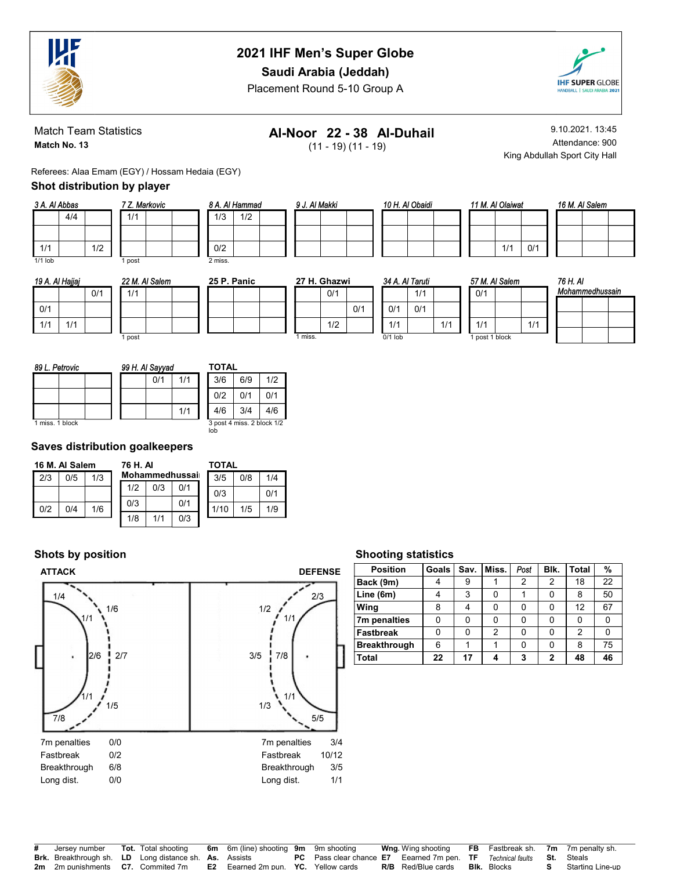

Saudi Arabia (Jeddah)

Placement Round 5-10 Group A



Match Team Statistics Match No. 13

## Al-Noor 22 - 38 Al-Duhail

(11 - 19) (11 - 19)

9.10.2021. 13:45 Attendance: 900 King Abdullah Sport City Hall

Referees: Alaa Emam (EGY) / Hossam Hedaia (EGY)

#### Shot distribution by player

| 3 A. Al Abbas |     |     | 7 Z. Markovic |  |  |  |  |  |
|---------------|-----|-----|---------------|--|--|--|--|--|
|               | 4/4 |     | 1/1           |  |  |  |  |  |
|               |     |     |               |  |  |  |  |  |
| 1/1           |     | 1/2 |               |  |  |  |  |  |
| $1/1$ lob     |     |     | post          |  |  |  |  |  |

|     | 19 A. Al Haiiai |     |  |      |  |  |  |
|-----|-----------------|-----|--|------|--|--|--|
|     |                 | 0/1 |  | 1/1  |  |  |  |
| 0/1 |                 |     |  |      |  |  |  |
| 1/1 | 1/1             |     |  |      |  |  |  |
|     |                 |     |  | post |  |  |  |

| Salem | 25 |
|-------|----|
|       |    |
|       |    |
|       |    |

| 5 P. Panic |  |         | 27 H. Ghazwi |  |
|------------|--|---------|--------------|--|
|            |  |         | 0/1          |  |
|            |  |         |              |  |
|            |  |         | 1/2          |  |
|            |  | 1 miss. |              |  |

8 A. Al Hammad 1/3 1/2

0/2 2 miss.

|     | 34 A. Al Taruti |     |
|-----|-----------------|-----|
|     |                 | 1/1 |
| 0/1 | 0/1             | 0/1 |
|     | 1/1             |     |
|     | $0/1$ lob       |     |

 $1/1$ 

9 J. Al Makki 10 H. Al Obaidi 11 M. Al Olaiwat

|                | 1/1 | 0/1 |
|----------------|-----|-----|
| 57 M. Al Salem |     |     |

 $1/1$  1/1 1 post 1 block

0/1

|  | 16 M. Al Salem |  |
|--|----------------|--|
|  |                |  |
|  |                |  |
|  |                |  |

| 76 H. AI | Mohammedhussain |  |
|----------|-----------------|--|
|          |                 |  |
|          |                 |  |
|          |                 |  |

| 89 L. Petrovic  | 99 H. Al Sayyad | TOTAL                             |
|-----------------|-----------------|-----------------------------------|
|                 | 1/1<br>0/1      | 3/6<br>1/2<br>6/9                 |
|                 |                 | 0/2<br>0/1<br>0/1                 |
|                 | 1/1             | 4/6<br>3/4<br>4/6                 |
| 1 miss. 1 block |                 | 3 post 4 miss. 2 block 1/2<br>loh |

#### Saves distribution goalkeepers

|     | 16 M. Al Salem |     | 76 H. AI |     |                | TOTAL |     |     |  |  |  |
|-----|----------------|-----|----------|-----|----------------|-------|-----|-----|--|--|--|
| 2/3 | 0/5            | 1/3 |          |     | Mohammedhussai | 3/5   | 0/8 | 1/4 |  |  |  |
|     |                |     | 1/2      | 0/3 | 0/1            | 0/3   |     | 0/1 |  |  |  |
| 0/2 | 0/4            | 1/6 | 0/3      |     | 0/1            | 1/10  | 1/5 | 1/9 |  |  |  |
|     |                |     | 1/8      | 1/1 | 0/3            |       |     |     |  |  |  |

#### Shots by position



#### Shooting statistics

| <b>Position</b>     | Goals | Sav. | Miss. | Post | Blk. | Total | %  |
|---------------------|-------|------|-------|------|------|-------|----|
| Back (9m)           |       | 9    |       | 2    | 2    | 18    | 22 |
| Line (6m)           |       | 3    |       |      |      | 8     | 50 |
| Wing                | 8     |      | 0     | 0    | ŋ    | 12    | 67 |
| 7m penalties        | ი     | 0    |       | 0    |      |       | 0  |
| <b>Fastbreak</b>    | 0     | 0    | 2     | 0    |      | 2     | 0  |
| <b>Breakthrough</b> | 6     |      |       | U    | ŋ    | 8     | 75 |
| Total               | 22    | 17   |       | 3    | 2    | 48    | 46 |

| # Jersev number                                               |  | <b>Tot.</b> Total shooting 6m 6m (line) shooting 9m 9m shooting       |                                                                                                    | <b>Wng</b> Wing shooting FB Fastbreak sh. 7m 7m penalty sh. |  |                           |
|---------------------------------------------------------------|--|-----------------------------------------------------------------------|----------------------------------------------------------------------------------------------------|-------------------------------------------------------------|--|---------------------------|
| <b>Brk.</b> Breakthrough sh. LD Long distance sh. As. Assists |  |                                                                       | <b>PC</b> Pass clear chance <b>E7</b> Eearned 7m pen. <b>TF</b> Technical faults <b>St.</b> Steals |                                                             |  |                           |
|                                                               |  | 2m 2m punishments C7. Commited 7m E2 Eearned 2m pun. YC. Yellow cards |                                                                                                    | <b>R/B</b> Red/Blue cards <b>Blk.</b> Blocks                |  | <b>S</b> Starting Line-up |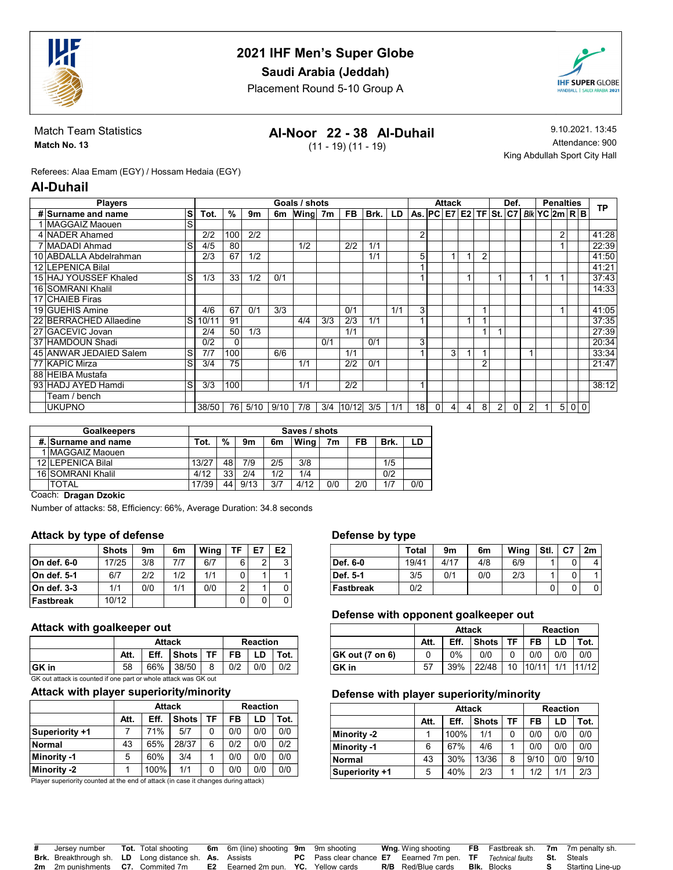

Saudi Arabia (Jeddah)

Placement Round 5-10 Group A



Match Team Statistics Match No. 13

## Al-Noor 22 - 38 Al-Duhail

(11 - 19) (11 - 19)

9.10.2021. 13:45 Attendance: 900 King Abdullah Sport City Hall

Referees: Alaa Emam (EGY) / Hossam Hedaia (EGY)

#### Al-Duhail

| <b>Players</b>         |   |       |          |      |      | Goals / shots |     |       |      |     |                        |          | <b>Attack</b>  |                |   |   | Def. |                      |             | <b>Penalties</b> |                |       |
|------------------------|---|-------|----------|------|------|---------------|-----|-------|------|-----|------------------------|----------|----------------|----------------|---|---|------|----------------------|-------------|------------------|----------------|-------|
| # Surname and name     | S | Tot.  | %        | 9m   | 6m   | Wing 7m       |     | FB.   | Brk. | LD  | As. PC E7 E2 TF St. C7 |          |                |                |   |   |      | <i>Bik</i> YC 2m R B |             |                  |                | ТP    |
| 1 MAGGAIZ Maouen       | S |       |          |      |      |               |     |       |      |     |                        |          |                |                |   |   |      |                      |             |                  |                |       |
| 4 NADER Ahamed         |   | 2/2   | 100      | 2/2  |      |               |     |       |      |     | 2                      |          |                |                |   |   |      |                      |             | $\overline{2}$   |                | 41:28 |
| 7 MADADI Ahmad         | S | 4/5   | 80       |      |      | 1/2           |     | 2/2   | 1/1  |     |                        |          |                |                |   |   |      |                      |             |                  |                | 22:39 |
| 10 ABDALLA Abdelrahman |   | 2/3   | 67       | 1/2  |      |               |     |       | 1/1  |     | 5                      |          |                |                | 2 |   |      |                      |             |                  |                | 41:50 |
| 12 LEPENICA Bilal      |   |       |          |      |      |               |     |       |      |     |                        |          |                |                |   |   |      |                      |             |                  |                | 41:21 |
| 15 HAJ YOUSSEF Khaled  | S | 1/3   | 33       | 1/2  | 0/1  |               |     |       |      |     |                        |          |                |                |   |   |      |                      | -1          |                  |                | 37:43 |
| 16 SOMRANI Khalil      |   |       |          |      |      |               |     |       |      |     |                        |          |                |                |   |   |      |                      |             |                  |                | 14:33 |
| 17 CHAIEB Firas        |   |       |          |      |      |               |     |       |      |     |                        |          |                |                |   |   |      |                      |             |                  |                |       |
| 19 GUEHIS Amine        |   | 4/6   | 67       | 0/1  | 3/3  |               |     | 0/1   |      | 1/1 | 3                      |          |                |                |   |   |      |                      |             |                  |                | 41:05 |
| 22 BERRACHED Allaedine | S | 10/11 | 91       |      |      | 4/4           | 3/3 | 2/3   | 1/1  |     |                        |          |                |                |   |   |      |                      |             |                  |                | 37:35 |
| 27 GACEVIC Jovan       |   | 2/4   | 50       | 1/3  |      |               |     | 1/1   |      |     |                        |          |                |                |   |   |      |                      |             |                  |                | 27:39 |
| 37 HAMDOUN Shadi       |   | 0/2   | $\Omega$ |      |      |               | 0/1 |       | 0/1  |     | 3                      |          |                |                |   |   |      |                      |             |                  |                | 20:34 |
| 45 ANWAR JEDAIED Salem | S | 7/7   | 100      |      | 6/6  |               |     | 1/1   |      |     |                        |          | 3              |                |   |   |      |                      |             |                  |                | 33:34 |
| 77 KAPIC Mirza         | S | 3/4   | 75       |      |      | 1/1           |     | 2/2   | 0/1  |     |                        |          |                |                | 2 |   |      |                      |             |                  |                | 21:47 |
| 88 HEIBA Mustafa       |   |       |          |      |      |               |     |       |      |     |                        |          |                |                |   |   |      |                      |             |                  |                |       |
| 93 HADJ AYED Hamdi     | S | 3/3   | 100      |      |      | 1/1           |     | 2/2   |      |     | и                      |          |                |                |   |   |      |                      |             |                  |                | 38:12 |
| Team / bench           |   |       |          |      |      |               |     |       |      |     |                        |          |                |                |   |   |      |                      |             |                  |                |       |
| <b>UKUPNO</b>          |   | 38/50 | 76 I     | 5/10 | 9/10 | 7/8           | 3/4 | 10/12 | 3/5  | 1/1 | 18 <sup>1</sup>        | $\Omega$ | $\overline{4}$ | $\overline{4}$ | 8 | 2 | 0    | 2                    | $\mathbf 1$ | 5                | 0 <sup>0</sup> |       |

| <b>Goalkeepers</b>     |       |    |                |     | Saves / shots |                |     |      |     |
|------------------------|-------|----|----------------|-----|---------------|----------------|-----|------|-----|
| #. Surname and name    | Tot.  | %  | 9 <sub>m</sub> | 6m  | Wina          | 7 <sub>m</sub> | FB  | Brk. | LD  |
| <b>IMAGGAIZ Maouen</b> |       |    |                |     |               |                |     |      |     |
| 12 LEPENICA Bilal      | 13/27 | 48 | 7/9            | 2/5 | 3/8           |                |     | 1/5  |     |
| 16 SOMRANI Khalil      | 4/12  | 33 | 2/4            | 1/2 | 1/4           |                |     | 0/2  |     |
| <b>TOTAL</b>           | 17/39 | 44 | 9/13           | 3/7 | 4/12          | 0/0            | 2/0 | 1/7  | 0/0 |

Coach: Dragan Dzokic

Number of attacks: 58, Efficiency: 66%, Average Duration: 34.8 seconds

#### Attack by type of defense

|              | <b>Shots</b> | 9m  | 6m  | Wing | TF | E7 | E <sub>2</sub> |
|--------------|--------------|-----|-----|------|----|----|----------------|
| ∣On def. 6-0 | 17/25        | 3/8 | 717 | 6/7  | 6  | っ  | $\mathbf{r}$   |
| On def. 5-1  | 6/7          | 2/2 | 1/2 | 1/1  |    |    |                |
| On def. 3-3  | 1/1          | 0/0 | 1/1 | 0/0  | 2  |    |                |
| Fastbreak    | 10/12        |     |     |      | 0  | 0  |                |

#### Attack with goalkeeper out

|              |      | <b>Attack</b> | <b>Reaction</b>                              |     |     |     |  |  |  |
|--------------|------|---------------|----------------------------------------------|-----|-----|-----|--|--|--|
|              | Att. |               | Eff. $ $ Shots $ $ TF $ $ FB $ $ LD $ $ Tot. |     |     |     |  |  |  |
| <b>GK</b> in | 58   |               | 66% 38/50   8                                | 0/2 | 0/0 | 0/2 |  |  |  |

GK out attack is counted if one part or whole attack was GK out

#### Attack with player superiority/minority

|                    |           | Attack |              |     |     | <b>Reaction</b> |      |  |
|--------------------|-----------|--------|--------------|-----|-----|-----------------|------|--|
|                    | Att.      | Eff.   | <b>Shots</b> | TF. | FB  | LD              | Tot. |  |
| Superiority +1     |           | 71%    | 5/7          | 0   | 0/0 | 0/0             | 0/0  |  |
| Normal             | 65%<br>43 |        | 28/37        | 6   | 0/2 | 0/0             | 0/2  |  |
| <b>Minority -1</b> | 5         | 60%    | 3/4          |     | 0/0 | 0/0             | 0/0  |  |
| Minority -2        |           | 100%   | 1/1          | 0   | 0/0 | 0/0             | 0/0  |  |

Player superiority counted at the end of attack (in case it changes during attack)

#### Defense by type

|           | <b>Total</b> | 9m   | 6m  | Wing | Stl. | C7 | 2m |
|-----------|--------------|------|-----|------|------|----|----|
| Def. 6-0  | 19/41        | 4/17 | 4/8 | 6/9  |      |    |    |
| Def. 5-1  | 3/5          | 0/1  | 0/0 | 2/3  |      |    |    |
| Fastbreak | 0/2          |      |     |      |      |    |    |

#### Defense with opponent goalkeeper out

|                 |      | <b>Attack</b>        | <b>Reaction</b> |    |       |     |       |  |
|-----------------|------|----------------------|-----------------|----|-------|-----|-------|--|
|                 | Att. | <b>Shots</b><br>Eff. | FB              | LD | Tot.  |     |       |  |
| GK out (7 on 6) |      | 0%                   | 0/0             |    | 0/0   | 0/0 | 0/0   |  |
| GK in           | 57   | 39%                  | 22/48           | 10 | 10/11 | 1/1 | 11/12 |  |

#### Defense with player superiority/minority

|                    |           | <b>Attack</b> |              |     | <b>Reaction</b> |     |      |  |  |
|--------------------|-----------|---------------|--------------|-----|-----------------|-----|------|--|--|
|                    | Att.      | Eff.          | <b>Shots</b> | ΤF  | FB              | LD  | Tot. |  |  |
| <b>Minority -2</b> |           | 0             | 0/0          | 0/0 | 0/0             |     |      |  |  |
| Minority -1        | 6         | 67%           | 4/6          |     | 0/0             | 0/0 | 0/0  |  |  |
| <b>Normal</b>      | 30%<br>43 |               | 13/36        | 8   | 9/10            | 0/0 | 9/10 |  |  |
| Superiority +1     | 5         | 40%           | 2/3          |     | 1/2             | 1/1 | 2/3  |  |  |

| # Jersev number |  | <b>Tot.</b> Total shooting 6m 6m (line) shooting 9m 9m shooting                                   |                                                                                                                                             | <b>Wng</b> Wing shooting FB Fastbreak sh. 7m 7m penalty sh. |  |                           |
|-----------------|--|---------------------------------------------------------------------------------------------------|---------------------------------------------------------------------------------------------------------------------------------------------|-------------------------------------------------------------|--|---------------------------|
|                 |  |                                                                                                   | <b>Brk.</b> Breakthrough sh. LD Long distance sh. As. Assists <b>PC</b> Pass clear chance E7 Eearned 7m pen. TF Technical faults St. Steals |                                                             |  |                           |
|                 |  | <b>2m</b> 2m punishments <b>C7.</b> Commited 7m <b>E2</b> Eearned 2m pun. <b>YC.</b> Yellow cards |                                                                                                                                             | <b>R/B</b> Red/Blue cards <b>Blk.</b> Blocks                |  | <b>S</b> Starting Line-up |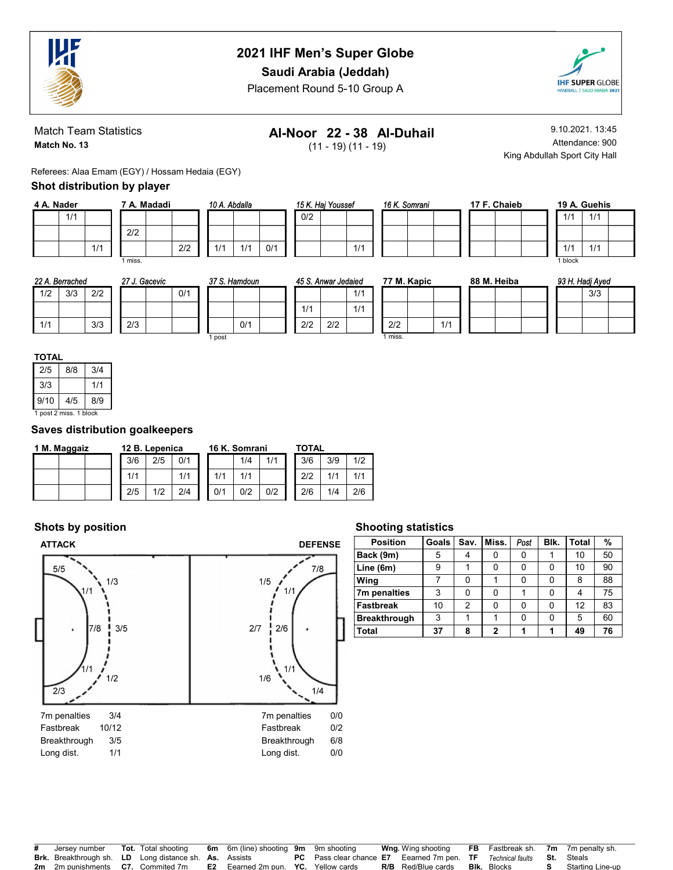

Saudi Arabia (Jeddah)

Placement Round 5-10 Group A



Match Team Statistics Match No. 13

## Al-Noor 22 - 38 Al-Duhail

(11 - 19) (11 - 19)

9.10.2021. 13:45 Attendance: 900 King Abdullah Sport City Hall

Referees: Alaa Emam (EGY) / Hossam Hedaia (EGY)

#### Shot distribution by player

| 4 A. Nader |     | 7 A. Madadi |         |  |
|------------|-----|-------------|---------|--|
|            | 1/1 |             |         |  |
|            |     |             | 2/2     |  |
|            |     | 1/1         |         |  |
|            |     |             | 1 miss. |  |

|     | 10 A. Abdalla |     |     | 15 K. |     |  |  |
|-----|---------------|-----|-----|-------|-----|--|--|
|     |               |     |     |       | 0/2 |  |  |
|     |               |     |     |       |     |  |  |
| 2/2 | 1/1           | 1/1 | 0/1 |       |     |  |  |

| Haj Youssef |  |     |  | 16 K. Somrani |  |
|-------------|--|-----|--|---------------|--|
|             |  |     |  |               |  |
|             |  |     |  |               |  |
|             |  | 1/1 |  |               |  |

|  | 17 F. Chaieb |  |
|--|--------------|--|
|  |              |  |
|  |              |  |
|  |              |  |

|         | 19 A. Guehis |  |
|---------|--------------|--|
| 1/1     | 1/1          |  |
|         |              |  |
| 1/1     | 1/1          |  |
| 1 block |              |  |

| 22 A. Berrached |     |     | . Gacevic<br>27 J. |     |  |     | 37 S.<br>. Hamdoun |  |       | 45 S. Anwar Jedaied |     |     | 77 M. Kapic |     |  | 88 M. Heiba |  |  | 93 H. Hadj Ayed |  |  |  |     |  |
|-----------------|-----|-----|--------------------|-----|--|-----|--------------------|--|-------|---------------------|-----|-----|-------------|-----|--|-------------|--|--|-----------------|--|--|--|-----|--|
| 1/2             | 3/3 | 2/2 |                    |     |  | 0/1 |                    |  |       |                     |     |     | 1/1         |     |  |             |  |  |                 |  |  |  | 3/3 |  |
|                 |     |     |                    |     |  |     |                    |  |       |                     | 1/1 |     | 1/1         |     |  |             |  |  |                 |  |  |  |     |  |
| 1/1             |     | 3/3 |                    | 2/3 |  |     |                    |  | 0/1   |                     | 2/2 | 2/2 |             | 2/2 |  | 1/1         |  |  |                 |  |  |  |     |  |
| post            |     |     |                    |     |  |     |                    |  | miss. |                     |     |     |             |     |  |             |  |  |                 |  |  |  |     |  |

| ۰. | .,<br>. . | ٠ |
|----|-----------|---|
|    |           |   |

| 2/5                  | 8/8 | 3/4 |  |  |  |  |  |  |  |  |  |
|----------------------|-----|-----|--|--|--|--|--|--|--|--|--|
| 3/3<br>1/1           |     |     |  |  |  |  |  |  |  |  |  |
| 9/10<br>4/5<br>8/9   |     |     |  |  |  |  |  |  |  |  |  |
| post 2 miss, 1 block |     |     |  |  |  |  |  |  |  |  |  |

#### Saves distribution goalkeepers

| 1 M. Maggaiz |     | 12 B. Lepenica |     |     |     | 16 K. Somrani |     | <b>TOTAL</b> |     |     |
|--------------|-----|----------------|-----|-----|-----|---------------|-----|--------------|-----|-----|
|              | 3/6 | 2/5            | 0/1 | 1/4 |     |               | 1/1 | 3/6          | 3/9 | 1/2 |
|              | 1/1 |                | 1/1 |     |     |               |     | 2/2          |     |     |
|              | 2/5 | 1/2            | 2/4 |     | 0/1 | 0/2           | 0/2 | 2/6          | 1/4 | 2/6 |

#### Shots by position



#### Shooting statistics

| <b>Position</b>     | <b>Goals</b> | Sav. | Miss.        | Post | Blk. | Total | %  |
|---------------------|--------------|------|--------------|------|------|-------|----|
| Back (9m)           | 5            |      |              |      |      | 10    | 50 |
| Line (6m)           | 9            |      |              | U    |      | 10    | 90 |
| Wing                | 7            | 0    |              |      |      | 8     | 88 |
| 7m penalties        | 3            | 0    | 0            |      |      | 4     | 75 |
| <b>Fastbreak</b>    | 10           | 2    | 0            |      |      | 12    | 83 |
| <b>Breakthrough</b> | 3            |      |              | U    |      | 5     | 60 |
| Total               | 37           | 8    | $\mathbf{2}$ |      |      | 49    | 76 |

| Jersey number                                                 | <b>Tot.</b> Total shooting | <b>6m</b> 6m (line) shooting 9m 9m shooting |                                                                                  | <b>Wng</b> . Wing shooting | <b>FB</b> Fastbreak sh. 7m 7m penalty sh. |                   |
|---------------------------------------------------------------|----------------------------|---------------------------------------------|----------------------------------------------------------------------------------|----------------------------|-------------------------------------------|-------------------|
| <b>Brk.</b> Breakthrough sh. LD Long distance sh. As. Assists |                            |                                             | <b>PC</b> Pass clear chance <b>E7</b> Eearned 7m pen. <b>TF</b> Technical faults |                            |                                           | <b>St.</b> Steals |
| <b>2m</b> 2m punishments <b>C7.</b> Commited 7m               |                            | <b>E2</b> Eearned 2m pun. YC. Yellow cards  |                                                                                  | <b>R/B</b> Red/Blue cards  | <b>BIK.</b> Blocks                        | Starting Line-up  |